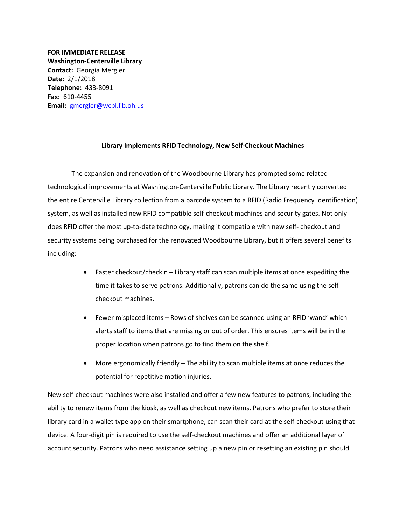**FOR IMMEDIATE RELEASE Washington-Centerville Library Contact:** Georgia Mergler **Date:** 2/1/2018 **Telephone:** 433-8091 **Fax:** 610-4455 **Email:** [gmergler@wcpl.lib.oh.us](mailto:gmergler@wcpl.lib.oh.us)

## **Library Implements RFID Technology, New Self-Checkout Machines**

The expansion and renovation of the Woodbourne Library has prompted some related technological improvements at Washington-Centerville Public Library. The Library recently converted the entire Centerville Library collection from a barcode system to a RFID (Radio Frequency Identification) system, as well as installed new RFID compatible self-checkout machines and security gates. Not only does RFID offer the most up-to-date technology, making it compatible with new self- checkout and security systems being purchased for the renovated Woodbourne Library, but it offers several benefits including:

- Faster checkout/checkin Library staff can scan multiple items at once expediting the time it takes to serve patrons. Additionally, patrons can do the same using the selfcheckout machines.
- Fewer misplaced items Rows of shelves can be scanned using an RFID 'wand' which alerts staff to items that are missing or out of order. This ensures items will be in the proper location when patrons go to find them on the shelf.
- More ergonomically friendly The ability to scan multiple items at once reduces the potential for repetitive motion injuries.

New self-checkout machines were also installed and offer a few new features to patrons, including the ability to renew items from the kiosk, as well as checkout new items. Patrons who prefer to store their library card in a wallet type app on their smartphone, can scan their card at the self-checkout using that device. A four-digit pin is required to use the self-checkout machines and offer an additional layer of account security. Patrons who need assistance setting up a new pin or resetting an existing pin should